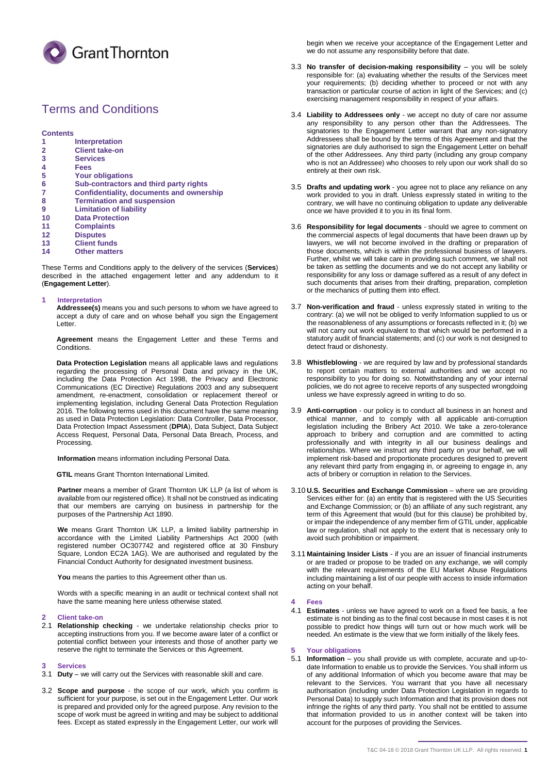

# Terms and Conditions

**Contents**

- **1 Interpretation**
- **2 Client take-on 3 Services**
- 
- **4 Fees**
- **5 Your obligations**
- **6 Sub-contractors and third party rights**
- **7 Confidentiality, documents and ownership**
- **8 Termination and suspension**
- **9 Limitation of liability**
- **10 Data Protection**
- **11 Complaints**
- **12 Disputes**
- **13 Client funds**
- **14 Other matters**

These Terms and Conditions apply to the delivery of the services (**Services**) described in the attached engagement letter and any addendum to it (**Engagement Letter**).

#### **1 Interpretation**

**Addressee(s)** means you and such persons to whom we have agreed to accept a duty of care and on whose behalf you sign the Engagement Letter.

**Agreement** means the Engagement Letter and these Terms and Conditions.

**Data Protection Legislation** means all applicable laws and regulations regarding the processing of Personal Data and privacy in the UK, including the Data Protection Act 1998, the Privacy and Electronic Communications (EC Directive) Regulations 2003 and any subsequent amendment, re-enactment, consolidation or replacement thereof or implementing legislation, including General Data Protection Regulation 2016. The following terms used in this document have the same meaning as used in Data Protection Legislation: Data Controller, Data Processor, Data Protection Impact Assessment (**DPIA**), Data Subject, Data Subject Access Request, Personal Data, Personal Data Breach, Process, and Processing.

**Information** means information including Personal Data.

**GTIL** means Grant Thornton International Limited.

**Partner** means a member of Grant Thornton UK LLP (a list of whom is available from our registered office). It shall not be construed as indicating that our members are carrying on business in partnership for the purposes of the Partnership Act 1890.

**We** means Grant Thornton UK LLP, a limited liability partnership in accordance with the Limited Liability Partnerships Act 2000 (with registered number OC307742 and registered office at 30 Finsbury Square, London EC2A 1AG). We are authorised and regulated by the Financial Conduct Authority for designated investment business.

**You** means the parties to this Agreement other than us.

Words with a specific meaning in an audit or technical context shall not have the same meaning here unless otherwise stated.

## **2 Client take-on**

2.1 **Relationship checking** - we undertake relationship checks prior to accepting instructions from you. If we become aware later of a conflict or potential conflict between your interests and those of another party we reserve the right to terminate the Services or this Agreement.

#### **3 Services**

- 3.1 **Duty**  we will carry out the Services with reasonable skill and care.
- 3.2 **Scope and purpose** the scope of our work, which you confirm is sufficient for your purpose, is set out in the Engagement Letter. Our work is prepared and provided only for the agreed purpose. Any revision to the scope of work must be agreed in writing and may be subject to additional fees. Except as stated expressly in the Engagement Letter, our work will

begin when we receive your acceptance of the Engagement Letter and we do not assume any responsibility before that date.

- 3.3 **No transfer of decision-making responsibility**  you will be solely responsible for: (a) evaluating whether the results of the Services meet your requirements; (b) deciding whether to proceed or not with any transaction or particular course of action in light of the Services; and (c) exercising management responsibility in respect of your affairs.
- 3.4 **Liability to Addressees only**  we accept no duty of care nor assume any responsibility to any person other than the Addressees. The signatories to the Engagement Letter warrant that any non-signatory Addressees shall be bound by the terms of this Agreement and that the signatories are duly authorised to sign the Engagement Letter on behalf of the other Addressees. Any third party (including any group company who is not an Addressee) who chooses to rely upon our work shall do so entirely at their own risk.
- 3.5 **Drafts and updating work**  you agree not to place any reliance on any work provided to you in draft. Unless expressly stated in writing to the contrary, we will have no continuing obligation to update any deliverable once we have provided it to you in its final form.
- 3.6 **Responsibility for legal documents**  should we agree to comment on the commercial aspects of legal documents that have been drawn up by lawyers, we will not become involved in the drafting or preparation of those documents, which is within the professional business of lawyers. Further, whilst we will take care in providing such comment, we shall not be taken as settling the documents and we do not accept any liability or responsibility for any loss or damage suffered as a result of any defect in such documents that arises from their drafting, preparation, completion or the mechanics of putting them into effect.
- 3.7 **Non-verification and fraud**  unless expressly stated in writing to the contrary: (a) we will not be obliged to verify Information supplied to us or the reasonableness of any assumptions or forecasts reflected in it; (b) we will not carry out work equivalent to that which would be performed in a statutory audit of financial statements; and (c) our work is not designed to detect fraud or dishonesty.
- 3.8 **Whistleblowing**  we are required by law and by professional standards to report certain matters to external authorities and we accept no responsibility to you for doing so. Notwithstanding any of your internal policies, we do not agree to receive reports of any suspected wrongdoing unless we have expressly agreed in writing to do so.
- 3.9 **Anti-corruption**  our policy is to conduct all business in an honest and ethical manner, and to comply with all applicable anti-corruption legislation including the Bribery Act 2010. We take a zero-tolerance approach to bribery and corruption and are committed to acting professionally and with integrity in all our business dealings and relationships. Where we instruct any third party on your behalf, we will implement risk-based and proportionate procedures designed to prevent any relevant third party from engaging in, or agreeing to engage in, any acts of bribery or corruption in relation to the Services.
- 3.10 **U.S. Securities and Exchange Commission**  where we are providing Services either for: (a) an entity that is registered with the US Securities and Exchange Commission; or (b) an affiliate of any such registrant, any term of this Agreement that would (but for this clause) be prohibited by, or impair the independence of any member firm of GTIL under, applicable law or regulation, shall not apply to the extent that is necessary only to avoid such prohibition or impairment.
- 3.11 **Maintaining Insider Lists**  if you are an issuer of financial instruments or are traded or propose to be traded on any exchange, we will comply with the relevant requirements of the EU Market Abuse Regulations including maintaining a list of our people with access to inside information acting on your behalf.

#### **4 Fees**

4.1 **Estimates** - unless we have agreed to work on a fixed fee basis, a fee estimate is not binding as to the final cost because in most cases it is not possible to predict how things will turn out or how much work will be needed. An estimate is the view that we form initially of the likely fees.

# **5 Your obligations**

5.1 **Information** – you shall provide us with complete, accurate and up-todate Information to enable us to provide the Services. You shall inform us of any additional Information of which you become aware that may be relevant to the Services. You warrant that you have all necessary authorisation (including under Data Protection Legislation in regards to Personal Data) to supply such Information and that its provision does not infringe the rights of any third party. You shall not be entitled to assume that information provided to us in another context will be taken into account for the purposes of providing the Services.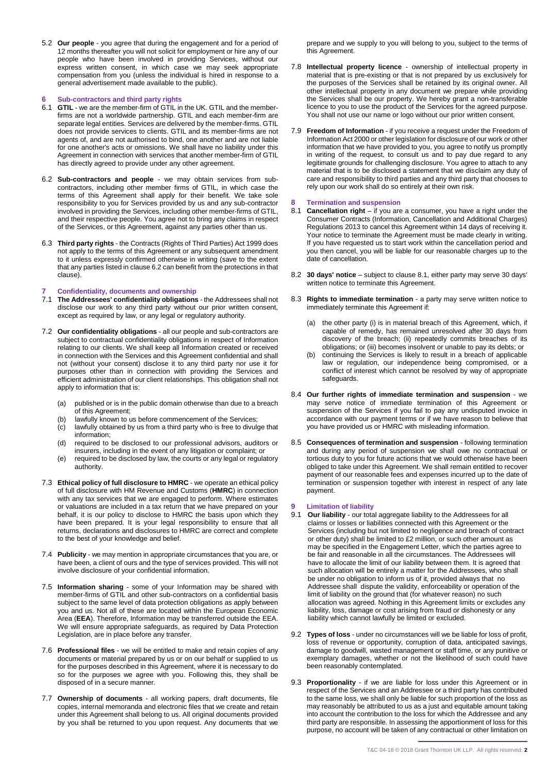5.2 **Our people** - you agree that during the engagement and for a period of 12 months thereafter you will not solicit for employment or hire any of our people who have been involved in providing Services, without our express written consent, in which case we may seek appropriate compensation from you (unless the individual is hired in response to a general advertisement made available to the public).

#### **6 Sub-contractors and third party rights**

- 6.1 **GTIL**  we are the member-firm of GTIL in the UK. GTIL and the memberfirms are not a worldwide partnership. GTIL and each member-firm are separate legal entities. Services are delivered by the member-firms. GTIL does not provide services to clients. GTIL and its member-firms are not agents of, and are not authorised to bind, one another and are not liable for one another's acts or omissions. We shall have no liability under this Agreement in connection with services that another member-firm of GTIL has directly agreed to provide under any other agreement.
- 6.2 **Sub-contractors and people**  we may obtain services from subcontractors, including other member firms of GTIL, in which case the terms of this Agreement shall apply for their benefit. We take sole responsibility to you for Services provided by us and any sub-contractor involved in providing the Services, including other member-firms of GTIL, and their respective people. You agree not to bring any claims in respect of the Services, or this Agreement, against any parties other than us.
- 6.3 **Third party rights**  the Contracts (Rights of Third Parties) Act 1999 does not apply to the terms of this Agreement or any subsequent amendment to it unless expressly confirmed otherwise in writing (save to the extent that any parties listed in clause 6.2 can benefit from the protections in that clause).

#### **7 Confidentiality, documents and ownership**

- 7.1 **The Addressees' confidentiality obligations**  the Addressees shall not disclose our work to any third party without our prior written consent, except as required by law, or any legal or regulatory authority.
- 7.2 **Our confidentiality obligations**  all our people and sub-contractors are subject to contractual confidentiality obligations in respect of Information relating to our clients. We shall keep all Information created or received in connection with the Services and this Agreement confidential and shall not (without your consent) disclose it to any third party nor use it for purposes other than in connection with providing the Services and efficient administration of our client relationships. This obligation shall not apply to information that is:
	- (a) published or is in the public domain otherwise than due to a breach of this Agreement;
	- (b) lawfully known to us before commencement of the Services;<br>(c) lawfully obtained by us from a third party who is free to divuly
	- lawfully obtained by us from a third party who is free to divulge that information;
	- (d) required to be disclosed to our professional advisors, auditors or insurers, including in the event of any litigation or complaint; or
	- (e) required to be disclosed by law, the courts or any legal or regulatory authority.
- 7.3 **Ethical policy of full disclosure to HMRC**  we operate an ethical policy of full disclosure with HM Revenue and Customs (**HMRC**) in connection with any tax services that we are engaged to perform. Where estimates or valuations are included in a tax return that we have prepared on your behalf, it is our policy to disclose to HMRC the basis upon which they have been prepared. It is your legal responsibility to ensure that all returns, declarations and disclosures to HMRC are correct and complete to the best of your knowledge and belief.
- 7.4 **Publicity**  we may mention in appropriate circumstances that you are, or have been, a client of ours and the type of services provided. This will not involve disclosure of your confidential information.
- 7.5 **Information sharing**  some of your Information may be shared with member-firms of GTIL and other sub-contractors on a confidential basis subject to the same level of data protection obligations as apply between you and us. Not all of these are located within the European Economic Area (**EEA**). Therefore, Information may be transferred outside the EEA. We will ensure appropriate safeguards, as required by Data Protection Legislation, are in place before any transfer.
- 7.6 **Professional files**  we will be entitled to make and retain copies of any documents or material prepared by us or on our behalf or supplied to us for the purposes described in this Agreement, where it is necessary to do so for the purposes we agree with you. Following this, they shall be disposed of in a secure manner.
- 7.7 **Ownership of documents** all working papers, draft documents, file copies, internal memoranda and electronic files that we create and retain under this Agreement shall belong to us. All original documents provided by you shall be returned to you upon request. Any documents that we

prepare and we supply to you will belong to you, subject to the terms of this Agreement.

- 7.8 **Intellectual property licence** ownership of intellectual property in material that is pre-existing or that is not prepared by us exclusively for the purposes of the Services shall be retained by its original owner. All other intellectual property in any document we prepare while providing the Services shall be our property. We hereby grant a non-transferable licence to you to use the product of the Services for the agreed purpose. You shall not use our name or logo without our prior written consent.
- 7.9 **Freedom of Information**  if you receive a request under the Freedom of Information Act 2000 or other legislation for disclosure of our work or other information that we have provided to you, you agree to notify us promptly in writing of the request, to consult us and to pay due regard to any legitimate grounds for challenging disclosure. You agree to attach to any material that is to be disclosed a statement that we disclaim any duty of care and responsibility to third parties and any third party that chooses to rely upon our work shall do so entirely at their own risk.

## **8 Termination and suspension**

- 8.1 **Cancellation right** if you are a consumer, you have a right under the Consumer Contracts (Information, Cancellation and Additional Charges) Regulations 2013 to cancel this Agreement within 14 days of receiving it. Your notice to terminate the Agreement must be made clearly in writing. If you have requested us to start work within the cancellation period and you then cancel, you will be liable for our reasonable charges up to the date of cancellation.
- 8.2 **30 days' notice** subject to clause 8.1, either party may serve 30 days' written notice to terminate this Agreement.
- 8.3 **Rights to immediate termination**  a party may serve written notice to immediately terminate this Agreement if:
	- (a) the other party (i) is in material breach of this Agreement, which, if capable of remedy, has remained unresolved after 30 days from discovery of the breach; (ii) repeatedly commits breaches of its obligations; or (iii) becomes insolvent or unable to pay its debts; or
	- (b) continuing the Services is likely to result in a breach of applicable law or regulation, our independence being compromised, or a conflict of interest which cannot be resolved by way of appropriate safeguards.
- 8.4 **Our further rights of immediate termination and suspension**  we may serve notice of immediate termination of this Agreement or suspension of the Services if you fail to pay any undisputed invoice in accordance with our payment terms or if we have reason to believe that you have provided us or HMRC with misleading information.
- 8.5 **Consequences of termination and suspension**  following termination and during any period of suspension we shall owe no contractual or tortious duty to you for future actions that we would otherwise have been obliged to take under this Agreement. We shall remain entitled to recover payment of our reasonable fees and expenses incurred up to the date of termination or suspension together with interest in respect of any late payment.

# **9 Limitation of liability**

- 9.1 **Our liability**  our total aggregate liability to the Addressees for all claims or losses or liabilities connected with this Agreement or the Services (including but not limited to negligence and breach of contract or other duty) shall be limited to £2 million, or such other amount as may be specified in the Engagement Letter, which the parties agree to be fair and reasonable in all the circumstances. The Addressees will have to allocate the limit of our liability between them. It is agreed that such allocation will be entirely a matter for the Addressees, who shall be under no obligation to inform us of it, provided always that no Addressee shall dispute the validity, enforceability or operation of the limit of liability on the ground that (for whatever reason) no such allocation was agreed. Nothing in this Agreement limits or excludes any liability, loss, damage or cost arising from fraud or dishonesty or any liability which cannot lawfully be limited or excluded.
- 9.2 **Types of loss** under no circumstances will we be liable for loss of profit, loss of revenue or opportunity, corruption of data, anticipated savings, damage to goodwill, wasted management or staff time, or any punitive or exemplary damages, whether or not the likelihood of such could have been reasonably contemplated.
- 9.3 **Proportionality**  if we are liable for loss under this Agreement or in respect of the Services and an Addressee or a third party has contributed to the same loss, we shall only be liable for such proportion of the loss as may reasonably be attributed to us as a just and equitable amount taking into account the contribution to the loss for which the Addressee and any third party are responsible. In assessing the apportionment of loss for this purpose, no account will be taken of any contractual or other limitation on